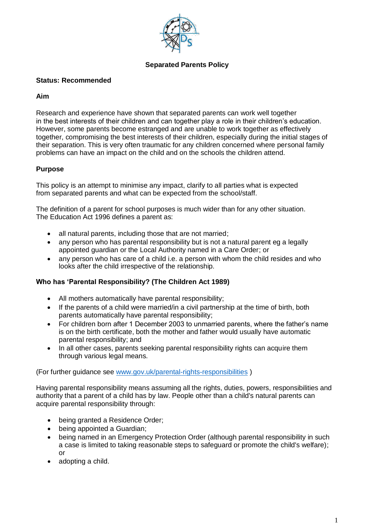

## **Separated Parents Policy**

## **Status: Recommended**

## **Aim**

Research and experience have shown that separated parents can work well together in the best interests of their children and can together play a role in their children's education. However, some parents become estranged and are unable to work together as effectively together, compromising the best interests of their children, especially during the initial stages of their separation. This is very often traumatic for any children concerned where personal family problems can have an impact on the child and on the schools the children attend.

# **Purpose**

This policy is an attempt to minimise any impact, clarify to all parties what is expected from separated parents and what can be expected from the school/staff.

The definition of a parent for school purposes is much wider than for any other situation. The Education Act 1996 defines a parent as:

- all natural parents, including those that are not married;
- any person who has parental responsibility but is not a natural parent eg a legally appointed guardian or the Local Authority named in a Care Order; or
- any person who has care of a child i.e. a person with whom the child resides and who looks after the child irrespective of the relationship.

# **Who has 'Parental Responsibility? (The Children Act 1989)**

- All mothers automatically have parental responsibility;
- If the parents of a child were married/in a civil partnership at the time of birth, both parents automatically have parental responsibility;
- For children born after 1 December 2003 to unmarried parents, where the father's name is on the birth certificate, both the mother and father would usually have automatic parental responsibility; and
- In all other cases, parents seeking parental responsibility rights can acquire them through various legal means.

(For further guidance see www.gov.uk/parental-rights-responsibilities )

Having parental responsibility means assuming all the rights, duties, powers, responsibilities and authority that a parent of a child has by law. People other than a child's natural parents can acquire parental responsibility through:

- being granted a Residence Order;
- being appointed a Guardian;
- being named in an Emergency Protection Order (although parental responsibility in such a case is limited to taking reasonable steps to safeguard or promote the child's welfare); or
- adopting a child.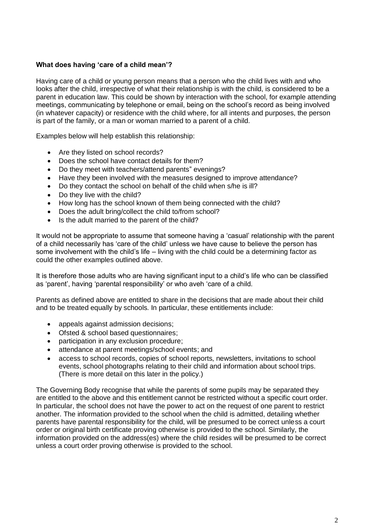## **What does having 'care of a child mean'?**

Having care of a child or young person means that a person who the child lives with and who looks after the child, irrespective of what their relationship is with the child, is considered to be a parent in education law. This could be shown by interaction with the school, for example attending meetings, communicating by telephone or email, being on the school's record as being involved (in whatever capacity) or residence with the child where, for all intents and purposes, the person is part of the family, or a man or woman married to a parent of a child.

Examples below will help establish this relationship:

- Are they listed on school records?
- Does the school have contact details for them?
- Do they meet with teachers/attend parents" evenings?
- Have they been involved with the measures designed to improve attendance?
- Do they contact the school on behalf of the child when s/he is ill?
- Do they live with the child?
- How long has the school known of them being connected with the child?
- Does the adult bring/collect the child to/from school?
- Is the adult married to the parent of the child?

It would not be appropriate to assume that someone having a 'casual' relationship with the parent of a child necessarily has 'care of the child' unless we have cause to believe the person has some involvement with the child's life – living with the child could be a determining factor as could the other examples outlined above.

It is therefore those adults who are having significant input to a child's life who can be classified as 'parent', having 'parental responsibility' or who aveh 'care of a child.

Parents as defined above are entitled to share in the decisions that are made about their child and to be treated equally by schools. In particular, these entitlements include:

- appeals against admission decisions:
- Ofsted & school based questionnaires;
- participation in any exclusion procedure;
- attendance at parent meetings/school events; and
- access to school records, copies of school reports, newsletters, invitations to school events, school photographs relating to their child and information about school trips. (There is more detail on this later in the policy.)

The Governing Body recognise that while the parents of some pupils may be separated they are entitled to the above and this entitlement cannot be restricted without a specific court order. In particular, the school does not have the power to act on the request of one parent to restrict another. The information provided to the school when the child is admitted, detailing whether parents have parental responsibility for the child, will be presumed to be correct unless a court order or original birth certificate proving otherwise is provided to the school. Similarly, the information provided on the address(es) where the child resides will be presumed to be correct unless a court order proving otherwise is provided to the school.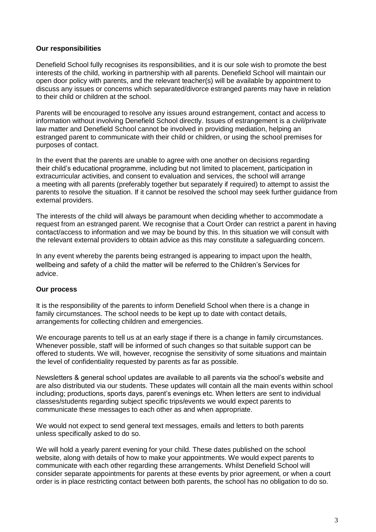## **Our responsibilities**

Denefield School fully recognises its responsibilities, and it is our sole wish to promote the best interests of the child, working in partnership with all parents. Denefield School will maintain our open door policy with parents, and the relevant teacher(s) will be available by appointment to discuss any issues or concerns which separated/divorce estranged parents may have in relation to their child or children at the school.

Parents will be encouraged to resolve any issues around estrangement, contact and access to information without involving Denefield School directly. Issues of estrangement is a civil/private law matter and Denefield School cannot be involved in providing mediation, helping an estranged parent to communicate with their child or children, or using the school premises for purposes of contact.

In the event that the parents are unable to agree with one another on decisions regarding their child's educational programme, including but not limited to placement, participation in extracurricular activities, and consent to evaluation and services, the school will arrange a meeting with all parents (preferably together but separately if required) to attempt to assist the parents to resolve the situation. If it cannot be resolved the school may seek further guidance from external providers.

The interests of the child will always be paramount when deciding whether to accommodate a request from an estranged parent. We recognise that a Court Order can restrict a parent in having contact/access to information and we may be bound by this. In this situation we will consult with the relevant external providers to obtain advice as this may constitute a safeguarding concern.

In any event whereby the parents being estranged is appearing to impact upon the health, wellbeing and safety of a child the matter will be referred to the Children's Services for advice.

## **Our process**

It is the responsibility of the parents to inform Denefield School when there is a change in family circumstances. The school needs to be kept up to date with contact details, arrangements for collecting children and emergencies.

We encourage parents to tell us at an early stage if there is a change in family circumstances. Whenever possible, staff will be informed of such changes so that suitable support can be offered to students. We will, however, recognise the sensitivity of some situations and maintain the level of confidentiality requested by parents as far as possible.

Newsletters & general school updates are available to all parents via the school's website and are also distributed via our students. These updates will contain all the main events within school including; productions, sports days, parent's evenings etc. When letters are sent to individual classes/students regarding subject specific trips/events we would expect parents to communicate these messages to each other as and when appropriate.

We would not expect to send general text messages, emails and letters to both parents unless specifically asked to do so.

We will hold a yearly parent evening for your child. These dates published on the school website, along with details of how to make your appointments. We would expect parents to communicate with each other regarding these arrangements. Whilst Denefield School will consider separate appointments for parents at these events by prior agreement, or when a court order is in place restricting contact between both parents, the school has no obligation to do so.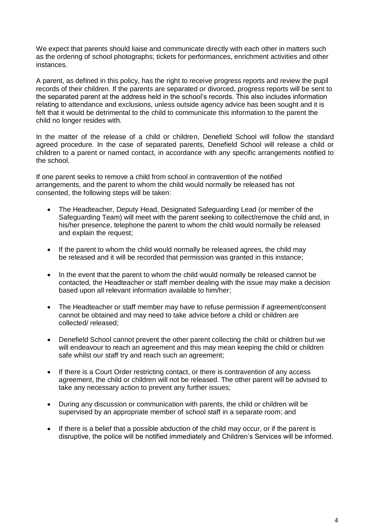We expect that parents should liaise and communicate directly with each other in matters such as the ordering of school photographs; tickets for performances, enrichment activities and other instances.

A parent, as defined in this policy, has the right to receive progress reports and review the pupil records of their children. If the parents are separated or divorced, progress reports will be sent to the separated parent at the address held in the school's records. This also includes information relating to attendance and exclusions, unless outside agency advice has been sought and it is felt that it would be detrimental to the child to communicate this information to the parent the child no longer resides with.

In the matter of the release of a child or children, Denefield School will follow the standard agreed procedure. In the case of separated parents, Denefield School will release a child or children to a parent or named contact, in accordance with any specific arrangements notified to the school.

If one parent seeks to remove a child from school in contravention of the notified arrangements, and the parent to whom the child would normally be released has not consented, the following steps will be taken:

- The Headteacher, Deputy Head, Designated Safeguarding Lead (or member of the Safeguarding Team) will meet with the parent seeking to collect/remove the child and, in his/her presence, telephone the parent to whom the child would normally be released and explain the request;
- If the parent to whom the child would normally be released agrees, the child may be released and it will be recorded that permission was granted in this instance;
- In the event that the parent to whom the child would normally be released cannot be contacted, the Headteacher or staff member dealing with the issue may make a decision based upon all relevant information available to him/her;
- The Headteacher or staff member may have to refuse permission if agreement/consent cannot be obtained and may need to take advice before a child or children are collected/ released;
- Denefield School cannot prevent the other parent collecting the child or children but we will endeavour to reach an agreement and this may mean keeping the child or children safe whilst our staff try and reach such an agreement;
- If there is a Court Order restricting contact, or there is contravention of any access agreement, the child or children will not be released. The other parent will be advised to take any necessary action to prevent any further issues;
- During any discussion or communication with parents, the child or children will be supervised by an appropriate member of school staff in a separate room; and
- If there is a belief that a possible abduction of the child may occur, or if the parent is disruptive, the police will be notified immediately and Children's Services will be informed.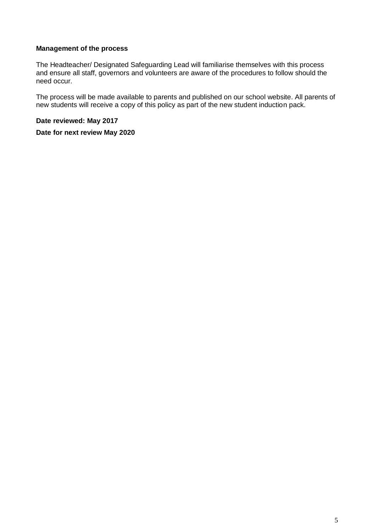## **Management of the process**

The Headteacher/ Designated Safeguarding Lead will familiarise themselves with this process and ensure all staff, governors and volunteers are aware of the procedures to follow should the need occur.

The process will be made available to parents and published on our school website. All parents of new students will receive a copy of this policy as part of the new student induction pack.

**Date reviewed: May 2017** 

**Date for next review May 2020**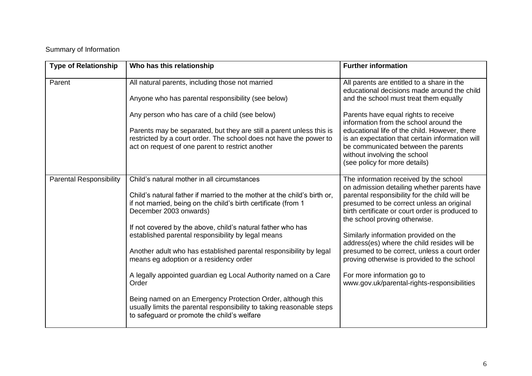# Summary of Information

| <b>Type of Relationship</b>    | Who has this relationship                                                                                                                                                                                                                                                                                                                                                                                                                                                                                                                                                                                                                                                                                                   | <b>Further information</b>                                                                                                                                                                                                                                                                                                                                                                                                                                                                                                                  |
|--------------------------------|-----------------------------------------------------------------------------------------------------------------------------------------------------------------------------------------------------------------------------------------------------------------------------------------------------------------------------------------------------------------------------------------------------------------------------------------------------------------------------------------------------------------------------------------------------------------------------------------------------------------------------------------------------------------------------------------------------------------------------|---------------------------------------------------------------------------------------------------------------------------------------------------------------------------------------------------------------------------------------------------------------------------------------------------------------------------------------------------------------------------------------------------------------------------------------------------------------------------------------------------------------------------------------------|
| Parent                         | All natural parents, including those not married<br>Anyone who has parental responsibility (see below)                                                                                                                                                                                                                                                                                                                                                                                                                                                                                                                                                                                                                      | All parents are entitled to a share in the<br>educational decisions made around the child<br>and the school must treat them equally                                                                                                                                                                                                                                                                                                                                                                                                         |
|                                | Any person who has care of a child (see below)<br>Parents may be separated, but they are still a parent unless this is<br>restricted by a court order. The school does not have the power to<br>act on request of one parent to restrict another                                                                                                                                                                                                                                                                                                                                                                                                                                                                            | Parents have equal rights to receive<br>information from the school around the<br>educational life of the child. However, there<br>is an expectation that certain information will<br>be communicated between the parents<br>without involving the school<br>(see policy for more details)                                                                                                                                                                                                                                                  |
| <b>Parental Responsibility</b> | Child's natural mother in all circumstances<br>Child's natural father if married to the mother at the child's birth or,<br>if not married, being on the child's birth certificate (from 1<br>December 2003 onwards)<br>If not covered by the above, child's natural father who has<br>established parental responsibility by legal means<br>Another adult who has established parental responsibility by legal<br>means eg adoption or a residency order<br>A legally appointed guardian eg Local Authority named on a Care<br>Order<br>Being named on an Emergency Protection Order, although this<br>usually limits the parental responsibility to taking reasonable steps<br>to safeguard or promote the child's welfare | The information received by the school<br>on admission detailing whether parents have<br>parental responsibility for the child will be<br>presumed to be correct unless an original<br>birth certificate or court order is produced to<br>the school proving otherwise.<br>Similarly information provided on the<br>address(es) where the child resides will be<br>presumed to be correct, unless a court order<br>proving otherwise is provided to the school<br>For more information go to<br>www.gov.uk/parental-rights-responsibilities |